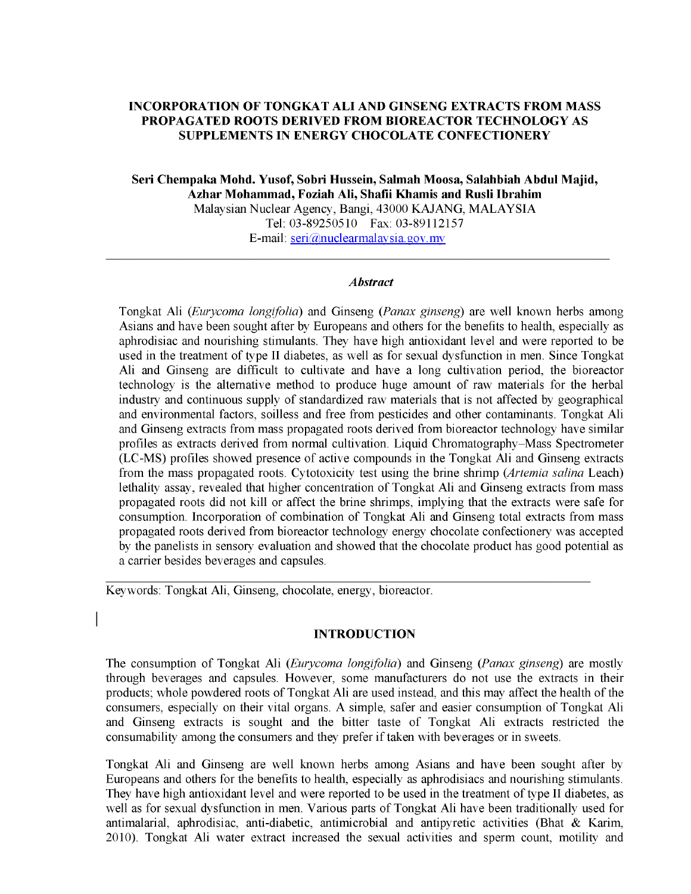# **INCORPORATION OF TONGKAT ALI AND GINSENG EXTRACTS FROM MASS PROPAGATED ROOTS DERIVED FROM BIOREACTOR TECHNOLOGY AS SUPPLEMENTS IN ENERGY CHOCOLATE CONFECTIONERY**

**Seri Chempaka Mohd. Yusof, Sobri Hussein, Salmah Moosa, Salahbiah Abdul Majid, Azhar Mohammad, Foziah Ali, Shafii Khamis and Rusli Ibrahim Malaysian Nuclear Agency, Bangi, 43000 KAJANG, MALAYSIA Tel: 03-89250510 Fax: 03-89112157**

**E-mail: [seri@nuclearmalaysia.gov.](mailto:seri@nuclearmalaysia.gov) my**

### *Abstract*

**Tongkat Ali** *(Eurycoma longifolia)* **and Ginseng** *(Panax ginseng)* **are well known herbs among Asians and have been sought after by Europeans and others for the benefits to health, especially as aphrodisiac and nourishing stimulants. They have high antioxidant level and were reported to be used in the treatment of type II diabetes, as well as for sexual dysfunction in men. Since Tongkat Ali and Ginseng are difficult to cultivate and have a long cultivation period, the bioreactor technology is the alternative method to produce huge amount of raw materials for the herbal industry and continuous supply of standardized raw materials that is not affected by geographical and environmental factors, soilless and free from pesticides and other contaminants. Tongkat Ali and Ginseng extracts from mass propagated roots derived from bioreactor technology have similar profiles as extracts derived from normal cultivation. Liquid Chromatography-Mass Spectrometer (LC-MS) profiles showed presence of active compounds in the Tongkat Ali and Ginseng extracts from the mass propagated roots. Cytotoxicity test using the brine shrimp** *(Artemia salina* **Leach) lethality assay, revealed that higher concentration of Tongkat Ali and Ginseng extracts from mass propagated roots did not kill or affect the brine shrimps, implying that the extracts were safe for consumption. Incorporation of combination of Tongkat Ali and Ginseng total extracts from mass propagated roots derived from bioreactor technology energy chocolate confectionery was accepted by the panelists in sensory evaluation and showed that the chocolate product has good potential as a carrier besides beverages and capsules.**

**Keywords: Tongkat Ali, Ginseng, chocolate, energy, bioreactor.**

### **INTRODUCTION**

**The consumption of Tongkat Ali (***Eurycoma longifolia***) and Ginseng (***Panax ginseng***) are mostly through beverages and capsules. However, some manufacturers do not use the extracts in their products; whole powdered roots of Tongkat Ali are used instead, and this may affect the health of the consumers, especially on their vital organs. A simple, safer and easier consumption of Tongkat Ali and Ginseng extracts is sought and the bitter taste of Tongkat Ali extracts restricted the consumability among the consumers and they prefer if taken with beverages or in sweets.**

**Tongkat Ali and Ginseng are well known herbs among Asians and have been sought after by Europeans and others for the benefits to health, especially as aphrodisiacs and nourishing stimulants. They have high antioxidant level and were reported to be used in the treatment of type II diabetes, as well as for sexual dysfunction in men. Various parts of Tongkat Ali have been traditionally used for antimalarial, aphrodisiac, anti-diabetic, antimicrobial and antipyretic activities (Bhat & Karim, 2010). Tongkat Ali water extract increased the sexual activities and sperm count, motility and**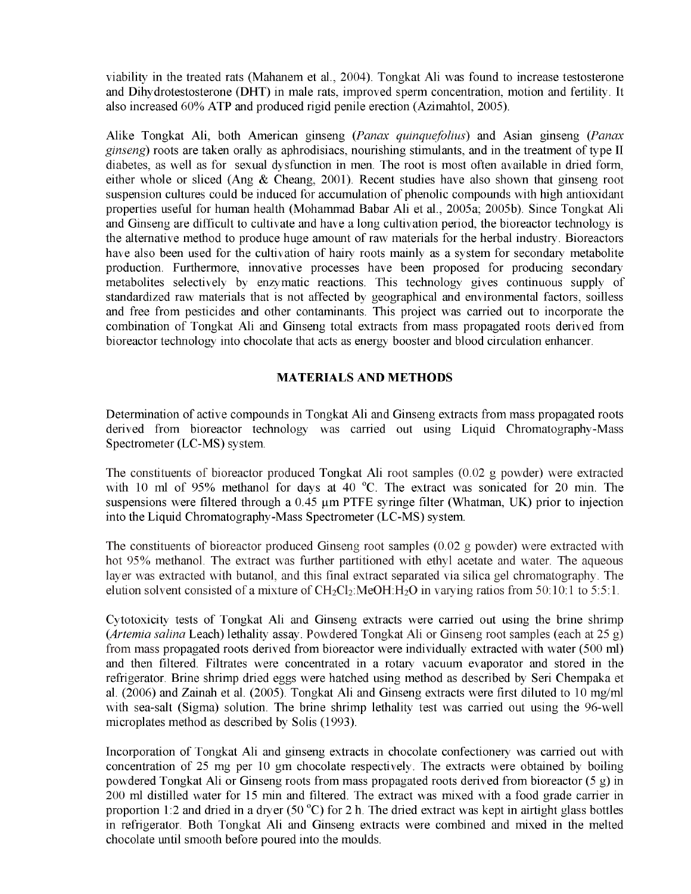**viability in the treated rats (Mahanem et al., 2004). Tongkat Ali was found to increase testosterone and Dihydrotestosterone (DHT) in male rats, improved sperm concentration, motion and fertility. It also increased 60% ATP and produced rigid penile erection (Azimahtol, 2005).**

**Alike Tongkat Ali, both American ginseng** *(Panax quinquefolius)* **and Asian ginseng** *(Panax ginseng)* **roots are taken orally as aphrodisiacs, nourishing stimulants, and in the treatment of type II diabetes, as well as for sexual dysfunction in men. The root is most often available in dried form, either whole or sliced (Ang & Cheang, 2001). Recent studies have also shown that ginseng root suspension cultures could be induced for accumulation of phenolic compounds with high antioxidant properties useful for human health (Mohammad Babar Ali et al., 2005a; 2005b). Since Tongkat Ali and Ginseng are difficult to cultivate and have a long cultivation period, the bioreactor technology is the alternative method to produce huge amount of raw materials for the herbal industry. Bioreactors have also been used for the cultivation of hairy roots mainly as a system for secondary metabolite production. Furthermore, innovative processes have been proposed for producing secondary metabolites selectively by enzymatic reactions. This technology gives continuous supply of standardized raw materials that is not affected by geographical and environmental factors, soilless and free from pesticides and other contaminants. This project was carried out to incorporate the combination of Tongkat Ali and Ginseng total extracts from mass propagated roots derived from bioreactor technology into chocolate that acts as energy booster and blood circulation enhancer.**

## **MATERIALS AND METHODS**

**Determination of active compounds in Tongkat Ali and Ginseng extracts from mass propagated roots derived from bioreactor technology was carried out using Liquid Chromatography-Mass Spectrometer (LC-MS) system.**

**The constituents of bioreactor produced Tongkat Ali root samples (0.02 g powder) were extracted** with 10 ml of 95% methanol for days at 40 °C. The extract was sonicated for 20 min. The suspensions were filtered through a 0.45  $\mu$ m PTFE syringe filter (Whatman, UK) prior to injection **into the Liquid Chromatography-Mass Spectrometer (LC-MS) system.**

**The constituents of bioreactor produced Ginseng root samples (0.02 g powder) were extracted with hot 95% methanol. The extract was further partitioned with ethyl acetate and water. The aqueous layer was extracted with butanol, and this final extract separated via silica gel chromatography. The elution solvent consisted of a mixture of CH**2**Cl**2**:MeOH:H**2**O in varying ratios from 50:10:1 to 5:5:1.**

**Cytotoxicity tests of Tongkat Ali and Ginseng extracts were carried out using the brine shrimp** *(Artemia salina* **Leach) lethality assay. Powdered Tongkat Ali or Ginseng root samples (each at 25 g) from mass propagated roots derived from bioreactor were individually extracted with water (500 ml) and then filtered. Filtrates were concentrated in a rotary vacuum evaporator and stored in the refrigerator. Brine shrimp dried eggs were hatched using method as described by Seri Chempaka et al. (2006) and Zainah et al. (2005). Tongkat Ali and Ginseng extracts were first diluted to 10 mg/ml with sea-salt (Sigma) solution. The brine shrimp lethality test was carried out using the 96-well microplates method as described by Solis (1993).**

**Incorporation of Tongkat Ali and ginseng extracts in chocolate confectionery was carried out with concentration of 25 mg per 10 gm chocolate respectively. The extracts were obtained by boiling powdered Tongkat Ali or Ginseng roots from mass propagated roots derived from bioreactor (5 g) in 200 ml distilled water for 15 min and filtered. The extract was mixed with a food grade carrier in** proportion 1:2 and dried in a dryer (50 °C) for 2 h. The dried extract was kept in airtight glass bottles **in refrigerator. Both Tongkat Ali and Ginseng extracts were combined and mixed in the melted chocolate until smooth before poured into the moulds.**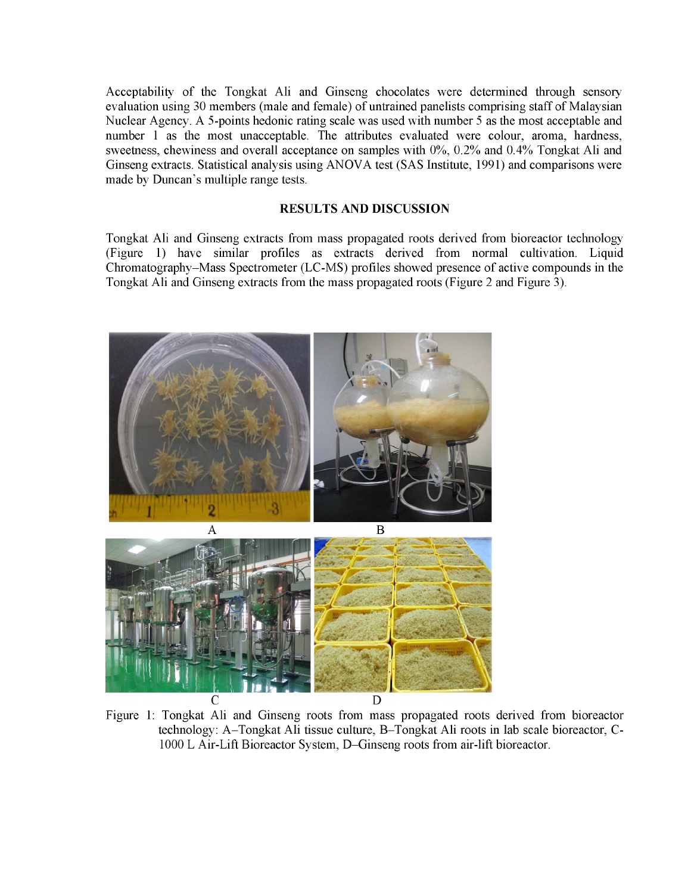**Acceptability of the Tongkat Ali and Ginseng chocolates were determined through sensory evaluation using 30 members (male and female) of untrained panelists comprising staff of Malaysian Nuclear Agency. A 5-points hedonic rating scale was used with number 5 as the most acceptable and number 1 as the most unacceptable. The attributes evaluated were colour, aroma, hardness, sweetness, chewiness and overall acceptance on samples with 0%, 0.2% and 0.4% Tongkat Ali and Ginseng extracts. Statistical analysis using ANOVA test (SAS Institute, 1991) and comparisons were made by Duncan's multiple range tests.**

### **RESULTS AND DISCUSSION**

**Tongkat Ali and Ginseng extracts from mass propagated roots derived from bioreactor technology (Figure** 1**) have similar profiles as extracts derived from normal cultivation. Liquid Chromatography-Mass Spectrometer (LC-MS) profiles showed presence of active compounds in the Tongkat Ali and Ginseng extracts from the mass propagated roots (Figure** 2 **and Figure 3).**



**Figure** 1**: Tongkat Ali and Ginseng roots from mass propagated roots derived from bioreactor technology: A-Tongkat Ali tissue culture, B-Tongkat Ali roots in lab scale bioreactor, C-**1000 **L Air-Lift Bioreactor System, D-Ginseng roots from air-lift bioreactor.**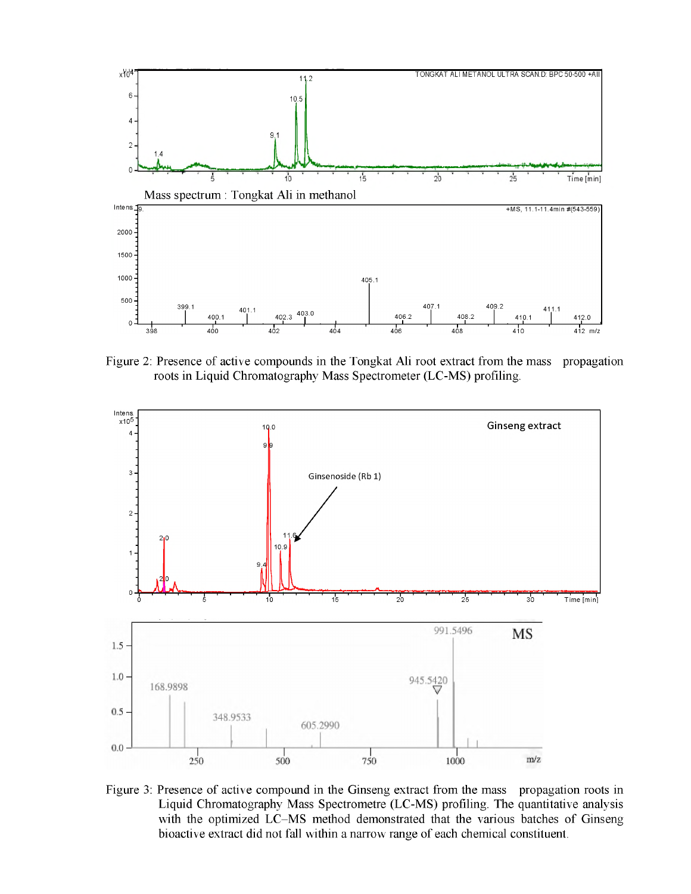

**Figure 2: Presence of active compounds in the Tongkat Ali root extract from the mass propagation roots in Liquid Chromatography Mass Spectrometer (LC-MS) profiling.**



**Figure 3: Presence of active compound in the Ginseng extract from the mass propagation roots in Liquid Chromatography Mass Spectrometre (LC-MS) profiling. The quantitative analysis with the optimized LC-MS method demonstrated that the various batches of Ginseng bioactive extract did not fall within a narrow range of each chemical constituent.**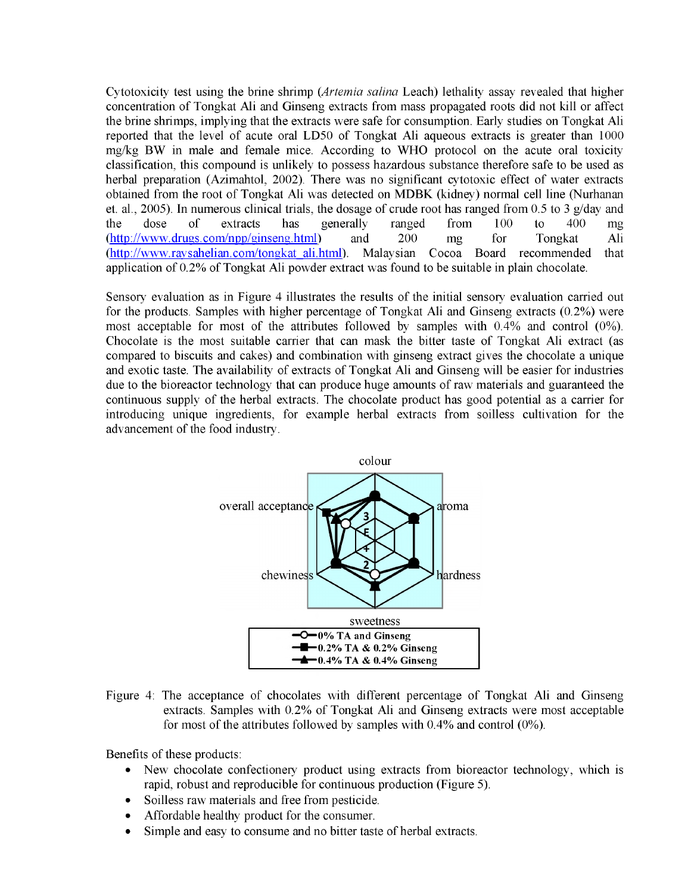**Cytotoxicity test using the brine shrimp** *(Artemia salina* **Leach) lethality assay revealed that higher concentration of Tongkat Ali and Ginseng extracts from mass propagated roots did not kill or affect the brine shrimps, implying that the extracts were safe for consumption. Early studies on Tongkat Ali reported that the level of acute oral LD50 of Tongkat Ali aqueous extracts is greater than 1000 mg/kg BW in male and female mice. According to WHO protocol on the acute oral toxicity classification, this compound is unlikely to possess hazardous substance therefore safe to be used as herbal preparation (Azimahtol, 2002). There was no significant cytotoxic effect of water extracts obtained from the root of Tongkat Ali was detected on MDBK (kidney) normal cell line (Nurhanan et. al., 2005). In numerous clinical trials, the dosage of crude root has ranged from 0.5 to 3 g/day and the dose of extracts has generally ranged from 100 to 400 mg [\(http://www.drugs.com/npp/ginseng.html](http://www.drugs.com/npp/ginseng.html)) and 200 mg for Tongkat Ali [\(http://www.raysahelian.com/tongkat](http://www.raysahelian.com/tongkat) ali.html). Malaysian Cocoa Board recommended that application of 0.2% of Tongkat Ali powder extract was found to be suitable in plain chocolate.**

**Sensory evaluation as in Figure 4 illustrates the results of the initial sensory evaluation carried out for the products. Samples with higher percentage of Tongkat Ali and Ginseng extracts (0.2%) were most acceptable for most of the attributes followed by samples with 0.4% and control (0%). Chocolate is the most suitable carrier that can mask the bitter taste of Tongkat Ali extract (as compared to biscuits and cakes) and combination with ginseng extract gives the chocolate a unique and exotic taste. The availability of extracts of Tongkat Ali and Ginseng will be easier for industries due to the bioreactor technology that can produce huge amounts of raw materials and guaranteed the continuous supply of the herbal extracts. The chocolate product has good potential as a carrier for introducing unique ingredients, for example herbal extracts from soilless cultivation for the advancement of the food industry.**



**Figure 4: The acceptance of chocolates with different percentage of Tongkat Ali and Ginseng extracts. Samples with 0.2% of Tongkat Ali and Ginseng extracts were most acceptable for most of the attributes followed by samples with 0.4% and control (0%).**

**Benefits of these products:**

- **New chocolate confectionery product using extracts from bioreactor technology, which is rapid, robust and reproducible for continuous production (Figure 5).**
- **Soilless raw materials and free from pesticide.**
- **Affordable healthy product for the consumer.**
- **Simple and easy to consume and no bitter taste of herbal extracts.**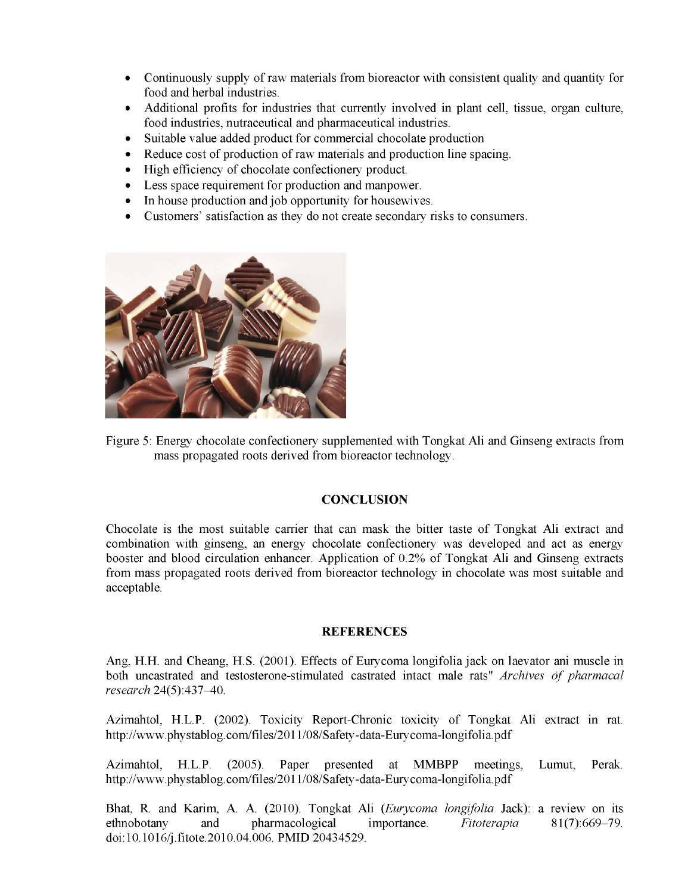- **Continuously supply of raw materials from bioreactor with consistent quality and quantity for food and herbal industries.**
- **Additional profits for industries that currently involved in plant cell, tissue, organ culture, food industries, nutraceutical and pharmaceutical industries.**
- **Suitable value added product for commercial chocolate production**
- **Reduce cost of production of raw materials and production line spacing.**
- **High efficiency of chocolate confectionery product.**
- **Less space requirement for production and manpower.**
- **In house production and job opportunity for housewives.**
- **Customers' satisfaction as they do not create secondary risks to consumers.**



**Figure 5: Energy chocolate confectionery supplemented with Tongkat Ali and Ginseng extracts from mass propagated roots derived from bioreactor technology.**

# **CONCLUSION**

**Chocolate is the most suitable carrier that can mask the bitter taste of Tongkat Ali extract and combination with ginseng, an energy chocolate confectionery was developed and act as energy booster and blood circulation enhancer. Application of 0.2% of Tongkat Ali and Ginseng extracts from mass propagated roots derived from bioreactor technology in chocolate was most suitable and acceptable.**

### **REFERENCES**

**Ang, H.H. and Cheang, H.S. (2001). Effects of Eurycoma longifolia jack on laevator ani muscle in** both uncastrated and testosterone-stimulated castrated intact male rats" Archives of pharmacal *research* **24(5):437-40.**

**Azimahtol, H.L.P. (2002). Toxicity Report-Chronic toxicity of Tongkat Ali extract in rat. <http://www.phystablog.com/files/2011/08/Safety-data-Eurycoma-longifolia.pdf>**

**Azimahtol, H.L.P. (2005). Paper presented at MMBPP meetings, Lumut, Perak. <http://www.phystablog.com/files/2011/08/Safety-data-Eurycoma-longifolia.pdf>**

**Bhat, R. and Karim, A. A. (2010). Tongkat Ali** *(Eurycoma longifolia* **Jack): a review on its ethnobotany and pharmacological importance.** *Fitoterapia* **81(7): 669-79. doi:10.1016/j.fitote.2010.04.006. PMID 20434529.**